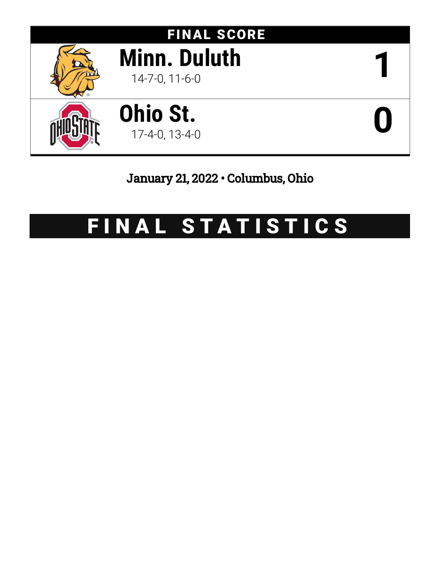

# January 21, 2022 • Columbus, Ohio

# FINAL STATISTICS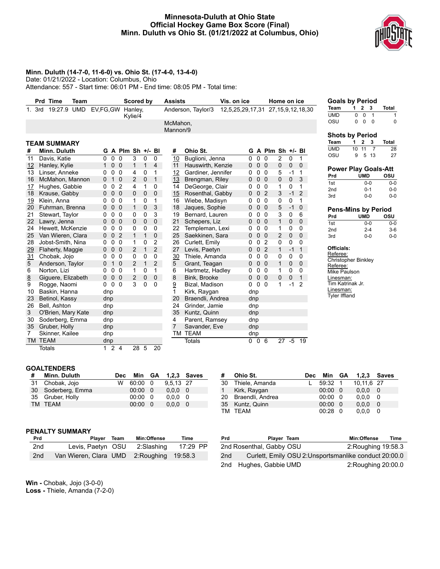# **Minnesota-Duluth at Ohio State Official Hockey Game Box Score (Final) Minn. Duluth vs Ohio St. (01/21/2022 at Columbus, Ohio)**



## **Minn. Duluth (14-7-0, 11-6-0) vs. Ohio St. (17-4-0, 13-4-0)**

Date: 01/21/2022 - Location: Columbus, Ohio

Attendance: 557 - Start time: 06:01 PM - End time: 08:05 PM - Total time:

|    | <b>Prd Time</b><br>Team |              |              |                         | Scored by         |              |                | <b>Assists</b>  | Vis. on ice        |                  |                |                     | Home on ice    |             |                       | <b>Goals by Period</b>                 |              |                     |                |                |
|----|-------------------------|--------------|--------------|-------------------------|-------------------|--------------|----------------|-----------------|--------------------|------------------|----------------|---------------------|----------------|-------------|-----------------------|----------------------------------------|--------------|---------------------|----------------|----------------|
|    | 19:27.9 UMD<br>3rd      | EV, FG, GW   |              |                         | Hanley,           |              |                |                 | Anderson, Taylor/3 | 12,5,25,29,17,31 |                |                     |                |             | 27, 15, 9, 12, 18, 30 | Team                                   |              | $1 \quad 2 \quad 3$ |                | <b>Total</b>   |
|    |                         |              |              |                         | Kylie/4           |              |                |                 |                    |                  |                |                     |                |             |                       | <b>UMD</b>                             | $\mathbf{0}$ | $\mathbf 0$         | $\overline{1}$ |                |
|    |                         |              |              |                         |                   |              |                | McMahon,        |                    |                  |                |                     |                |             |                       | OSU                                    | 0            | $\mathsf{O}$        | $\overline{0}$ |                |
|    |                         |              |              |                         |                   |              |                | Mannon/9        |                    |                  |                |                     |                |             |                       | <b>Shots by Period</b>                 |              |                     |                |                |
|    |                         |              |              |                         |                   |              |                |                 |                    |                  |                |                     |                |             |                       | <b>Team</b>                            | 1            | $\mathbf{2}$        | 3              | <b>Total</b>   |
|    | <b>TEAM SUMMARY</b>     |              |              |                         |                   |              |                |                 |                    |                  |                |                     |                |             |                       | <b>UMD</b>                             |              | 10 11               | $\overline{7}$ | 2 <sub>i</sub> |
| #  | Minn. Duluth            |              |              |                         | G A Plm Sh +/- Bl |              |                | #               | Ohio St.           |                  |                | G A Plm Sh $+/-$ Bl |                |             |                       | OSU                                    | 9            |                     | 5 13           | $2^{\circ}$    |
| 11 | Davis, Katie            | 0            | $\mathbf 0$  | $\mathbf 0$             | 3                 | $\mathbf 0$  | 0              | 10              | Buglioni, Jenna    | 0                | 0 <sub>0</sub> |                     | 2              | $\mathbf 0$ | 1                     |                                        |              |                     |                |                |
| 12 | Hanley, Kylie           | $\mathbf{1}$ |              | 0 <sub>0</sub>          | $\mathbf{1}$      | $\mathbf{1}$ | $\overline{4}$ | 11              | Hauswirth, Kenzie  | $\mathbf{0}$     | 0 <sub>0</sub> |                     | $\mathbf 0$    | 0           | $\mathbf{0}$          | <b>Power Play Goals-Att</b>            |              |                     |                |                |
| 13 | Linser, Anneke          | 0            | $\mathbf 0$  | $\overline{0}$          | 4                 | 0            | 1              | 12              | Gardiner, Jennifer | 0                |                | 0 <sub>0</sub>      | 5              | $-1$        | 1                     | Prd                                    |              | <b>UMD</b>          |                | OSU            |
| 16 | McMahon, Mannon         | 0            |              | 1 <sub>0</sub>          | 2                 | $\pmb{0}$    | 1              | 13              | Brengman, Riley    | 0                |                | 0 <sub>0</sub>      | 0              | $\mathbf 0$ | 3                     | 1st                                    |              |                     | $0 - 0$        | $O-I$          |
| 17 | Hughes, Gabbie          | 0            | 0            | $\overline{2}$          | 4                 | 1            | 0              | 14              | DeGeorge, Clair    | 0                |                | 0 <sub>0</sub>      | 1              | 0           | 1                     | 2 <sub>nd</sub>                        |              |                     | $0 - 1$        | $0 - 0$        |
| 18 | Krause, Gabby           | 0            | $\mathbf{0}$ | $\overline{0}$          | 0                 | 0            | $\mathbf 0$    | 15              | Rosenthal, Gabby   | 0                |                | 0 <sub>2</sub>      | 3              | $-1$        | $\overline{2}$        | 3rd                                    |              |                     | $0-0$          | $0-1$          |
| 19 | Klein, Anna             | 0            | 0            | $\overline{\mathbf{0}}$ | 1                 | 0            | 1              | 16              | Wiebe, Madisyn     | 0                |                | 0 <sub>0</sub>      | 0              | 0           | 1                     |                                        |              |                     |                |                |
| 20 | Fuhrman, Brenna         | 0            |              | 0 <sub>0</sub>          | $\mathbf{1}$      | 0            | 3              | 18              | Jaques, Sophie     | 0                |                | 0 <sub>0</sub>      | 5              | $-1$        | $\mathbf 0$           | <b>Pens-Mins by Period</b>             |              |                     |                |                |
| 21 | Stewart, Taylor         | 0            | $\mathbf{0}$ | $\Omega$                | 0                 | 0            | 3              | 19              | Bernard, Lauren    | 0                |                | 0 <sub>0</sub>      | 3              | 0           | 6                     | Prd                                    |              | <b>UMD</b>          |                | OSU            |
| 22 | Lawry, Jenna            | $\Omega$     |              | 0 <sub>0</sub>          | $\mathbf{0}$      | 0            | $\mathbf{0}$   | 21              | Schepers, Liz      | 0                |                | 0 <sub>0</sub>      | $\mathbf{1}$   | 0           | $\mathbf{0}$          | 1st                                    |              |                     | $0-0$          | $0 - 0$        |
| 24 | Hewett. McKenzie        | 0            | $\mathbf{0}$ | $\mathbf 0$             | 0                 | 0            | 0              | 22              | Templeman, Lexi    | 0                |                | 0 <sub>0</sub>      | 1              | 0           | 0                     | 2 <sub>nd</sub>                        |              |                     | $2 - 4$        | $3-$           |
| 25 | Van Wieren, Clara       | 0            | $\mathbf{0}$ | $\overline{2}$          | $\mathbf{1}$      | $\mathbf{1}$ | $\mathbf{0}$   | 25              | Saekkinen, Sara    | 0                |                | 0 <sub>0</sub>      | $\overline{2}$ | $\mathbf 0$ | $\mathbf{0}$          | 3rd                                    |              |                     | $0-0$          | $0-1$          |
| 28 | Jobst-Smith, Nina       | 0            | $\mathbf{0}$ | $\overline{0}$          | 1                 | 0            | 2              | 26              | Curlett, Emily     | 0                | $\mathbf 0$    | $\overline{2}$      | 0              | 0           | $\Omega$              |                                        |              |                     |                |                |
| 29 | Flaherty, Maggie        | 0            | $\mathbf 0$  | $\overline{0}$          | 2                 | $\mathbf{1}$ | $\overline{2}$ | 27              | Levis, Paetyn      | 0                | $\mathbf 0$    | $\overline{2}$      | $\mathbf{1}$   | $-1$        | $\mathbf{1}$          | Officials:                             |              |                     |                |                |
| 31 | Chobak, Jojo            | 0            |              | 0 <sub>0</sub>          | 0                 | $\Omega$     | 0              | 30              | Thiele, Amanda     | 0                |                | 0 <sub>0</sub>      | 0              | 0           | $\mathbf{0}$          | Referee:                               |              |                     |                |                |
| 5  | Anderson, Taylor        | 0            |              | 1 <sub>0</sub>          | 2                 | $\mathbf{1}$ | $\overline{2}$ | 5               | Grant, Teagan      | 0                |                | 0 <sub>0</sub>      | $\mathbf{1}$   | 0           | $\mathbf 0$           | <b>Christopher Binkley</b><br>Referee: |              |                     |                |                |
| 6  | Norton, Lizi            | 0            |              | 0 <sub>0</sub>          | $\mathbf{1}$      | $\Omega$     | $\mathbf{1}$   | 6               | Hartmetz, Hadley   | 0                |                | 0 <sub>0</sub>      | $\mathbf{1}$   | 0           | 0                     | Mike Paulson                           |              |                     |                |                |
| 8  | Giguere, Elizabeth      | 0            |              | 0 <sub>0</sub>          | $\overline{2}$    | $\mathbf 0$  | $\mathbf{0}$   | 8               | Bink, Brooke       | 0                |                | 0 <sub>0</sub>      | 0              | $\mathbf 0$ | $\mathbf{1}$          | Linesman:                              |              |                     |                |                |
| 9  | Rogge, Naomi            | 0            |              | 0 <sub>0</sub>          | 3                 | $\Omega$     | $\Omega$       | $\underline{9}$ | Bizal, Madison     | 0                | 0 <sub>0</sub> |                     | 1              | $-1$        | $\overline{2}$        | Tim Katrinak Jr.                       |              |                     |                |                |
| 10 | Baskin, Hanna           |              | dnp          |                         |                   |              |                | 1               | Kirk, Raygan       | dnp              |                |                     |                |             |                       | Linesman:                              |              |                     |                |                |
| 23 | Betinol, Kassy          |              | dnp          |                         |                   |              |                | 20              | Braendli, Andrea   | dnp              |                |                     |                |             |                       | <b>Tyler Iffland</b>                   |              |                     |                |                |
| 26 | Bell, Ashton            |              | dnp          |                         |                   |              |                | 24              | Grinder, Jamie     | dnp              |                |                     |                |             |                       |                                        |              |                     |                |                |
| 3  | O'Brien, Mary Kate      |              | dnp          |                         |                   |              |                | 35              | Kuntz, Quinn       | dnp              |                |                     |                |             |                       |                                        |              |                     |                |                |
| 30 | Soderberg, Emma         |              | dnp          |                         |                   |              |                | 4               | Parent, Ramsey     | dnp              |                |                     |                |             |                       |                                        |              |                     |                |                |
| 35 | Gruber, Holly           |              | dnp          |                         |                   |              |                | $\overline{7}$  | Savander, Eve      | dnp              |                |                     |                |             |                       |                                        |              |                     |                |                |
| 7  | Skinner, Kailee         |              | dnp          |                         |                   |              |                |                 | TM TEAM            | dnp              |                |                     |                |             |                       |                                        |              |                     |                |                |
|    | TM TEAM                 |              | dnp          |                         |                   |              |                |                 | <b>Totals</b>      |                  | $0\quad 0$     | 6                   | 27             | $-5$        | 19                    |                                        |              |                     |                |                |
|    | <b>Totals</b>           |              | 124          |                         | 28 5              |              | 20             |                 |                    |                  |                |                     |                |             |                       |                                        |              |                     |                |                |
|    |                         |              |              |                         |                   |              |                |                 |                    |                  |                |                     |                |             |                       |                                        |              |                     |                |                |

#### **Goals by Period Team 1 2 3 Total** IMD 0 0 1 1 OSU 0 0 0 0

# **Shots by Period**

| Team |   |       | 1 2 3 | Total |
|------|---|-------|-------|-------|
| UMD  |   | 10 11 |       | 28    |
| osu  | 9 |       | 5 13  | 27    |

| Prd                                                                                                                      | UMD                        | osu     |
|--------------------------------------------------------------------------------------------------------------------------|----------------------------|---------|
| 1st                                                                                                                      | $0 - 0$                    | 0-0     |
| 2 <sub>nd</sub>                                                                                                          | $0 - 1$                    | $0-0$   |
| 3rd                                                                                                                      | $0 - 0$                    | 0-0     |
|                                                                                                                          |                            |         |
|                                                                                                                          | Pens-Mins by Period        |         |
| Prd                                                                                                                      | UMD                        | osu     |
| 1st                                                                                                                      | $0 - 0$                    | $0 - 0$ |
| 2 <sub>nd</sub>                                                                                                          | $2 - 4$                    | $3-6$   |
| 3rd                                                                                                                      | 0-0                        | 0-0     |
| Officials:<br>Referee:<br>Referee:<br>Mike Paulson<br>Linesman:<br>Tim Katrinak Jr.<br>Linesman:<br><b>Tyler Iffland</b> | <b>Christopher Binkley</b> |         |

#### **GOALTENDERS**

| Minn. Duluth       |   |     |                                                                          |                    |
|--------------------|---|-----|--------------------------------------------------------------------------|--------------------|
| 31 Chobak, Jojo    | w |     | 9.5.13 27                                                                |                    |
| 30 Soderberg, Emma |   |     | $0.0.0 \quad 0$                                                          |                    |
| 35 Gruber, Holly   |   |     | $0.0.0 \quad 0$                                                          |                    |
| TM TEAM            |   |     | 0.0.0                                                                    | -0                 |
|                    |   | Dec | $60:00 \quad 0$<br>$00:00 \quad 0$<br>$00:00 \quad 0$<br>$00:00 \quad 0$ | Min GA 1,2,3 Saves |

| # | Ohio St.            | Dec | Min GA          |     | 1,2,3 Saves |     |
|---|---------------------|-----|-----------------|-----|-------------|-----|
|   | 30 Thiele, Amanda   |     | 59:32 1         |     | 10,11,6 27  |     |
|   | 1 Kirk, Raygan      |     | $00:00 \quad 0$ |     | 0.0.0       | - 0 |
|   | 20 Braendli, Andrea |     | $00:00 \quad 0$ |     | 0.0.0       | - 0 |
|   | 35 Kuntz, Quinn     |     | 00:00           | - 0 | 0.0.0       | 0   |
|   | TM TEAM             |     | 00:28           | - 0 | 0,0,0       | 0   |

#### **PENALTY SUMMARY**

| Prd | Player Team                               | Min:Offense | Time     |  |
|-----|-------------------------------------------|-------------|----------|--|
| 2nd | Levis, Paetyn OSU                         | 2:Slashing  | 17:29 PP |  |
| 2nd | Van Wieren, Clara UMD 2: Roughing 19:58.3 |             |          |  |

| Prd | Player Team              | Min:Offense<br>Time                                   |
|-----|--------------------------|-------------------------------------------------------|
|     | 2nd Rosenthal, Gabby OSU | 2:Roughing 19:58.3                                    |
| 2nd |                          | Curlett, Emily OSU 2: Unsportsmanlike conduct 20:00.0 |
| 2nd | Hughes, Gabbie UMD       | 2: Roughing 20:00.0                                   |

**Win -** Chobak, Jojo (3-0-0) **Loss -** Thiele, Amanda (7-2-0)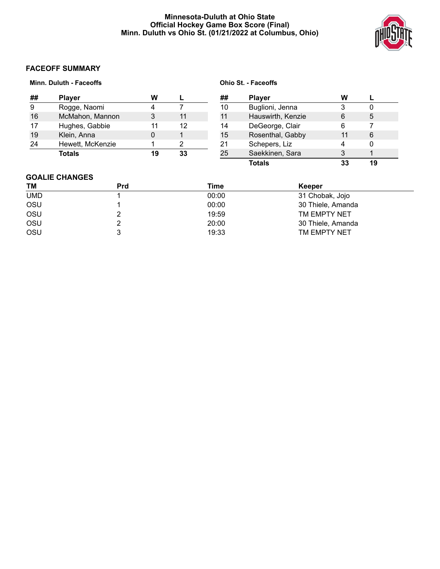# **Minnesota-Duluth at Ohio State Official Hockey Game Box Score (Final) Minn. Duluth vs Ohio St. (01/21/2022 at Columbus, Ohio)**



# **FACEOFF SUMMARY**

|    | <b>Minn. Duluth - Faceoffs</b> |    |    |    | <b>Ohio St. - Faceoffs</b> |    |    |
|----|--------------------------------|----|----|----|----------------------------|----|----|
| ## | <b>Player</b>                  | w  |    | ## | <b>Player</b>              | W  |    |
| 9  | Rogge, Naomi                   |    |    | 10 | Buglioni, Jenna            | 3  | 0  |
| 16 | McMahon, Mannon                | 3  | 11 | 11 | Hauswirth, Kenzie          | 6  | 5  |
| 17 | Hughes, Gabbie                 | 11 | 12 | 14 | DeGeorge, Clair            | 6  |    |
| 19 | Klein, Anna                    |    |    | 15 | Rosenthal, Gabby           | 11 | 6  |
| 24 | Hewett, McKenzie               |    | າ  | 21 | Schepers, Liz              | 4  | 0  |
|    | Totals                         | 19 | 33 | 25 | Saekkinen, Sara            | 3  |    |
|    |                                |    |    |    | Totals                     | 33 | 19 |

# **GOALIE CHANGES**

| TM         | Prd | Time  | <b>Keeper</b>     |  |
|------------|-----|-------|-------------------|--|
| <b>UMD</b> |     | 00:00 | 31 Chobak, Jojo   |  |
| OSU        |     | 00:00 | 30 Thiele, Amanda |  |
| OSU        |     | 19:59 | TM EMPTY NET      |  |
| OSU        |     | 20:00 | 30 Thiele, Amanda |  |
| OSU        |     | 19:33 | TM EMPTY NET      |  |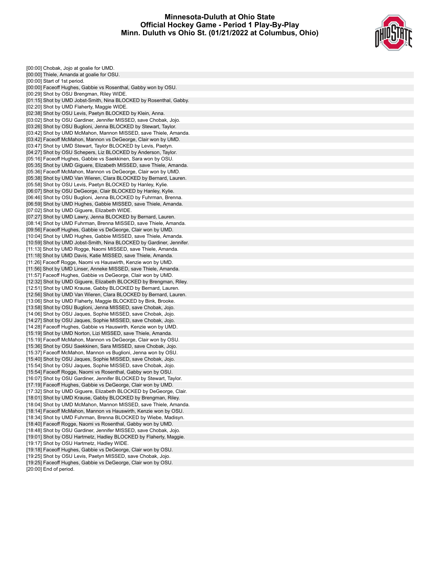# **Minnesota-Duluth at Ohio State Official Hockey Game - Period 1 Play-By-Play Minn. Duluth vs Ohio St. (01/21/2022 at Columbus, Ohio)**



[00:00] Chobak, Jojo at goalie for UMD. [00:00] Thiele, Amanda at goalie for OSU. [00:00] Start of 1st period. [00:00] Faceoff Hughes, Gabbie vs Rosenthal, Gabby won by OSU. [00:29] Shot by OSU Brengman, Riley WIDE. [01:15] Shot by UMD Jobst-Smith, Nina BLOCKED by Rosenthal, Gabby. [02:20] Shot by UMD Flaherty, Maggie WIDE. [02:38] Shot by OSU Levis, Paetyn BLOCKED by Klein, Anna. [03:02] Shot by OSU Gardiner, Jennifer MISSED, save Chobak, Jojo. [03:26] Shot by OSU Buglioni, Jenna BLOCKED by Stewart, Taylor. [03:42] Shot by UMD McMahon, Mannon MISSED, save Thiele, Amanda. [03:42] Faceoff McMahon, Mannon vs DeGeorge, Clair won by UMD. [03:47] Shot by UMD Stewart, Taylor BLOCKED by Levis, Paetyn. [04:27] Shot by OSU Schepers, Liz BLOCKED by Anderson, Taylor. [05:16] Faceoff Hughes, Gabbie vs Saekkinen, Sara won by OSU. [05:35] Shot by UMD Giguere, Elizabeth MISSED, save Thiele, Amanda. [05:36] Faceoff McMahon, Mannon vs DeGeorge, Clair won by UMD. [05:38] Shot by UMD Van Wieren, Clara BLOCKED by Bernard, Lauren. [05:58] Shot by OSU Levis, Paetyn BLOCKED by Hanley, Kylie. [06:07] Shot by OSU DeGeorge, Clair BLOCKED by Hanley, Kylie. [06:46] Shot by OSU Buglioni, Jenna BLOCKED by Fuhrman, Brenna. [06:59] Shot by UMD Hughes, Gabbie MISSED, save Thiele, Amanda. [07:02] Shot by UMD Giguere, Elizabeth WIDE. [07:27] Shot by UMD Lawry, Jenna BLOCKED by Bernard, Lauren. [08:14] Shot by UMD Fuhrman, Brenna MISSED, save Thiele, Amanda. [09:56] Faceoff Hughes, Gabbie vs DeGeorge, Clair won by UMD. [10:04] Shot by UMD Hughes, Gabbie MISSED, save Thiele, Amanda. [10:59] Shot by UMD Jobst-Smith, Nina BLOCKED by Gardiner, Jennifer. [11:13] Shot by UMD Rogge, Naomi MISSED, save Thiele, Amanda. [11:18] Shot by UMD Davis, Katie MISSED, save Thiele, Amanda. [11:26] Faceoff Rogge, Naomi vs Hauswirth, Kenzie won by UMD. [11:56] Shot by UMD Linser, Anneke MISSED, save Thiele, Amanda. [11:57] Faceoff Hughes, Gabbie vs DeGeorge, Clair won by UMD. [12:32] Shot by UMD Giguere, Elizabeth BLOCKED by Brengman, Riley. [12:51] Shot by UMD Krause, Gabby BLOCKED by Bernard, Lauren. [12:56] Shot by UMD Van Wieren, Clara BLOCKED by Bernard, Lauren. [13:06] Shot by UMD Flaherty, Maggie BLOCKED by Bink, Brooke. [13:58] Shot by OSU Buglioni, Jenna MISSED, save Chobak, Jojo. [14:06] Shot by OSU Jaques, Sophie MISSED, save Chobak, Jojo. [14:27] Shot by OSU Jaques, Sophie MISSED, save Chobak, Jojo. [14:28] Faceoff Hughes, Gabbie vs Hauswirth, Kenzie won by UMD. [15:19] Shot by UMD Norton, Lizi MISSED, save Thiele, Amanda. [15:19] Faceoff McMahon, Mannon vs DeGeorge, Clair won by OSU. [15:36] Shot by OSU Saekkinen, Sara MISSED, save Chobak, Jojo. [15:37] Faceoff McMahon, Mannon vs Buglioni, Jenna won by OSU. [15:40] Shot by OSU Jaques, Sophie MISSED, save Chobak, Jojo. [15:54] Shot by OSU Jaques, Sophie MISSED, save Chobak, Jojo. [15:54] Faceoff Rogge, Naomi vs Rosenthal, Gabby won by OSU. [16:07] Shot by OSU Gardiner, Jennifer BLOCKED by Stewart, Taylor. [17:19] Faceoff Hughes, Gabbie vs DeGeorge, Clair won by UMD. [17:32] Shot by UMD Giguere, Elizabeth BLOCKED by DeGeorge, Clair. [18:01] Shot by UMD Krause, Gabby BLOCKED by Brengman, Riley. [18:04] Shot by UMD McMahon, Mannon MISSED, save Thiele, Amanda. [18:14] Faceoff McMahon, Mannon vs Hauswirth, Kenzie won by OSU. [18:34] Shot by UMD Fuhrman, Brenna BLOCKED by Wiebe, Madisyn. [18:40] Faceoff Rogge, Naomi vs Rosenthal, Gabby won by UMD. [18:48] Shot by OSU Gardiner, Jennifer MISSED, save Chobak, Jojo. [19:01] Shot by OSU Hartmetz, Hadley BLOCKED by Flaherty, Maggie. [19:17] Shot by OSU Hartmetz, Hadley WIDE. [19:18] Faceoff Hughes, Gabbie vs DeGeorge, Clair won by OSU. [19:25] Shot by OSU Levis, Paetyn MISSED, save Chobak, Jojo. [19:25] Faceoff Hughes, Gabbie vs DeGeorge, Clair won by OSU.

[20:00] End of period.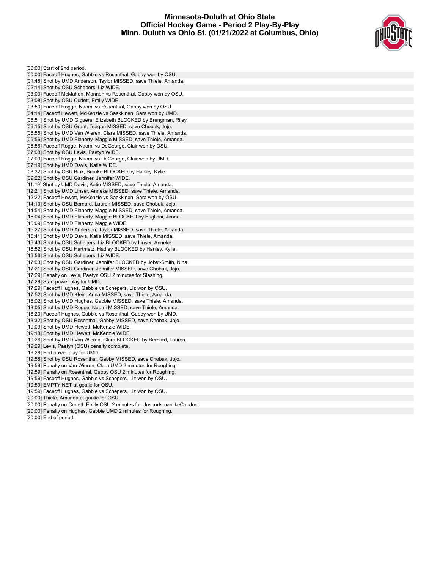# **Minnesota-Duluth at Ohio State Official Hockey Game - Period 2 Play-By-Play Minn. Duluth vs Ohio St. (01/21/2022 at Columbus, Ohio)**



[00:00] Start of 2nd period. [00:00] Faceoff Hughes, Gabbie vs Rosenthal, Gabby won by OSU. [01:48] Shot by UMD Anderson, Taylor MISSED, save Thiele, Amanda. [02:14] Shot by OSU Schepers, Liz WIDE. [03:03] Faceoff McMahon, Mannon vs Rosenthal, Gabby won by OSU. [03:08] Shot by OSU Curlett, Emily WIDE. [03:50] Faceoff Rogge, Naomi vs Rosenthal, Gabby won by OSU. [04:14] Faceoff Hewett, McKenzie vs Saekkinen, Sara won by UMD. [05:51] Shot by UMD Giguere, Elizabeth BLOCKED by Brengman, Riley. [06:15] Shot by OSU Grant, Teagan MISSED, save Chobak, Jojo. [06:55] Shot by UMD Van Wieren, Clara MISSED, save Thiele, Amanda. [06:56] Shot by UMD Flaherty, Maggie MISSED, save Thiele, Amanda. [06:56] Faceoff Rogge, Naomi vs DeGeorge, Clair won by OSU. [07:08] Shot by OSU Levis, Paetyn WIDE. [07:09] Faceoff Rogge, Naomi vs DeGeorge, Clair won by UMD. [07:19] Shot by UMD Davis, Katie WIDE. [08:32] Shot by OSU Bink, Brooke BLOCKED by Hanley, Kylie. [09:22] Shot by OSU Gardiner, Jennifer WIDE. [11:49] Shot by UMD Davis, Katie MISSED, save Thiele, Amanda. [12:21] Shot by UMD Linser, Anneke MISSED, save Thiele, Amanda. [12:22] Faceoff Hewett, McKenzie vs Saekkinen, Sara won by OSU. [14:13] Shot by OSU Bernard, Lauren MISSED, save Chobak, Jojo. [14:54] Shot by UMD Flaherty, Maggie MISSED, save Thiele, Amanda. [15:04] Shot by UMD Flaherty, Maggie BLOCKED by Buglioni, Jenna. [15:09] Shot by UMD Flaherty, Maggie WIDE. [15:27] Shot by UMD Anderson, Taylor MISSED, save Thiele, Amanda. [15:41] Shot by UMD Davis, Katie MISSED, save Thiele, Amanda. [16:43] Shot by OSU Schepers, Liz BLOCKED by Linser, Anneke. [16:52] Shot by OSU Hartmetz, Hadley BLOCKED by Hanley, Kylie. [16:56] Shot by OSU Schepers, Liz WIDE. [17:03] Shot by OSU Gardiner, Jennifer BLOCKED by Jobst-Smith, Nina. [17:21] Shot by OSU Gardiner, Jennifer MISSED, save Chobak, Jojo. [17:29] Penalty on Levis, Paetyn OSU 2 minutes for Slashing. [17:29] Start power play for UMD. [17:29] Faceoff Hughes, Gabbie vs Schepers, Liz won by OSU. [17:52] Shot by UMD Klein, Anna MISSED, save Thiele, Amanda. [18:02] Shot by UMD Hughes, Gabbie MISSED, save Thiele, Amanda. [18:05] Shot by UMD Rogge, Naomi MISSED, save Thiele, Amanda. [18:20] Faceoff Hughes, Gabbie vs Rosenthal, Gabby won by UMD. [18:32] Shot by OSU Rosenthal, Gabby MISSED, save Chobak, Jojo. [19:09] Shot by UMD Hewett, McKenzie WIDE. [19:18] Shot by UMD Hewett, McKenzie WIDE. [19:26] Shot by UMD Van Wieren, Clara BLOCKED by Bernard, Lauren. [19:29] Levis, Paetyn (OSU) penalty complete. [19:29] End power play for UMD. [19:58] Shot by OSU Rosenthal, Gabby MISSED, save Chobak, Jojo. [19:59] Penalty on Van Wieren, Clara UMD 2 minutes for Roughing. [19:59] Penalty on Rosenthal, Gabby OSU 2 minutes for Roughing. [19:59] Faceoff Hughes, Gabbie vs Schepers, Liz won by OSU. [19:59] EMPTY NET at goalie for OSU. [19:59] Faceoff Hughes, Gabbie vs Schepers, Liz won by OSU. [20:00] Thiele, Amanda at goalie for OSU. [20:00] Penalty on Curlett, Emily OSU 2 minutes for UnsportsmanlikeConduct. [20:00] Penalty on Hughes, Gabbie UMD 2 minutes for Roughing.

[20:00] End of period.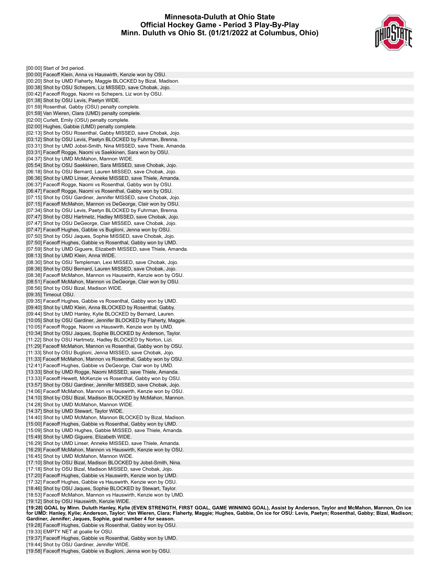# **Minnesota-Duluth at Ohio State Official Hockey Game - Period 3 Play-By-Play Minn. Duluth vs Ohio St. (01/21/2022 at Columbus, Ohio)**



[00:00] Start of 3rd period. [00:00] Faceoff Klein, Anna vs Hauswirth, Kenzie won by OSU. [00:20] Shot by UMD Flaherty, Maggie BLOCKED by Bizal, Madison. [00:38] Shot by OSU Schepers, Liz MISSED, save Chobak, Jojo. [00:42] Faceoff Rogge, Naomi vs Schepers, Liz won by OSU. [01:38] Shot by OSU Levis, Paetyn WIDE. [01:59] Rosenthal, Gabby (OSU) penalty complete. [01:59] Van Wieren, Clara (UMD) penalty complete. [02:00] Curlett, Emily (OSU) penalty complete. [02:00] Hughes, Gabbie (UMD) penalty complete. [02:13] Shot by OSU Rosenthal, Gabby MISSED, save Chobak, Jojo. [03:12] Shot by OSU Levis, Paetyn BLOCKED by Fuhrman, Brenna. [03:31] Shot by UMD Jobst-Smith, Nina MISSED, save Thiele, Amanda. [03:31] Faceoff Rogge, Naomi vs Saekkinen, Sara won by OSU. [04:37] Shot by UMD McMahon, Mannon WIDE. [05:54] Shot by OSU Saekkinen, Sara MISSED, save Chobak, Jojo. [06:18] Shot by OSU Bernard, Lauren MISSED, save Chobak, Jojo. [06:36] Shot by UMD Linser, Anneke MISSED, save Thiele, Amanda. [06:37] Faceoff Rogge, Naomi vs Rosenthal, Gabby won by OSU. [06:47] Faceoff Rogge, Naomi vs Rosenthal, Gabby won by OSU. [07:15] Shot by OSU Gardiner, Jennifer MISSED, save Chobak, Jojo. [07:15] Faceoff McMahon, Mannon vs DeGeorge, Clair won by OSU. [07:34] Shot by OSU Levis, Paetyn BLOCKED by Fuhrman, Brenna. [07:47] Shot by OSU Hartmetz, Hadley MISSED, save Chobak, Jojo. [07:47] Shot by OSU DeGeorge, Clair MISSED, save Chobak, Jojo. [07:47] Faceoff Hughes, Gabbie vs Buglioni, Jenna won by OSU. [07:50] Shot by OSU Jaques, Sophie MISSED, save Chobak, Jojo. [07:50] Faceoff Hughes, Gabbie vs Rosenthal, Gabby won by UMD. [07:59] Shot by UMD Giguere, Elizabeth MISSED, save Thiele, Amanda. [08:13] Shot by UMD Klein, Anna WIDE. [08:30] Shot by OSU Templeman, Lexi MISSED, save Chobak, Jojo. [08:36] Shot by OSU Bernard, Lauren MISSED, save Chobak, Jojo. [08:38] Faceoff McMahon, Mannon vs Hauswirth, Kenzie won by OSU. [08:51] Faceoff McMahon, Mannon vs DeGeorge, Clair won by OSU. [08:56] Shot by OSU Bizal, Madison WIDE. [09:35] Timeout OSU. [09:35] Faceoff Hughes, Gabbie vs Rosenthal, Gabby won by UMD. [09:40] Shot by UMD Klein, Anna BLOCKED by Rosenthal, Gabby. [09:44] Shot by UMD Hanley, Kylie BLOCKED by Bernard, Lauren. [10:05] Shot by OSU Gardiner, Jennifer BLOCKED by Flaherty, Maggie. [10:05] Faceoff Rogge, Naomi vs Hauswirth, Kenzie won by UMD. [10:34] Shot by OSU Jaques, Sophie BLOCKED by Anderson, Taylor. [11:22] Shot by OSU Hartmetz, Hadley BLOCKED by Norton, Lizi. [11:29] Faceoff McMahon, Mannon vs Rosenthal, Gabby won by OSU. [11:33] Shot by OSU Buglioni, Jenna MISSED, save Chobak, Jojo. [11:33] Faceoff McMahon, Mannon vs Rosenthal, Gabby won by OSU. [12:41] Faceoff Hughes, Gabbie vs DeGeorge, Clair won by UMD. [13:33] Shot by UMD Rogge, Naomi MISSED, save Thiele, Amanda. [13:33] Faceoff Hewett, McKenzie vs Rosenthal, Gabby won by OSU. [13:57] Shot by OSU Gardiner, Jennifer MISSED, save Chobak, Jojo. [14:06] Faceoff McMahon, Mannon vs Hauswirth, Kenzie won by OSU. [14:10] Shot by OSU Bizal, Madison BLOCKED by McMahon, Mannon. [14:28] Shot by UMD McMahon, Mannon WIDE. [14:37] Shot by UMD Stewart, Taylor WIDE. [14:40] Shot by UMD McMahon, Mannon BLOCKED by Bizal, Madison. [15:00] Faceoff Hughes, Gabbie vs Rosenthal, Gabby won by UMD. [15:09] Shot by UMD Hughes, Gabbie MISSED, save Thiele, Amanda. [15:49] Shot by UMD Giguere, Elizabeth WIDE. [16:29] Shot by UMD Linser, Anneke MISSED, save Thiele, Amanda. [16:29] Faceoff McMahon, Mannon vs Hauswirth, Kenzie won by OSU. [16:45] Shot by UMD McMahon, Mannon WIDE. [17:10] Shot by OSU Bizal, Madison BLOCKED by Jobst-Smith, Nina. [17:18] Shot by OSU Bizal, Madison MISSED, save Chobak, Jojo. [17:20] Faceoff Hughes, Gabbie vs Hauswirth, Kenzie won by UMD. [17:32] Faceoff Hughes, Gabbie vs Hauswirth, Kenzie won by OSU. [18:46] Shot by OSU Jaques, Sophie BLOCKED by Stewart, Taylor. [18:53] Faceoff McMahon, Mannon vs Hauswirth, Kenzie won by UMD. [19:12] Shot by OSU Hauswirth, Kenzie WIDE. [19:28] GOAL by Minn. Duluth Hanley, Kylie (EVEN STRENGTH, FIRST GOAL, GAME WINNING GOAL), Assist by Anderson, Taylor and McMahon, Mannon, On ice for UMD: Hanley, Kylie; Anderson, Taylor; Van Wieren, Clara; Flaherty, Maggie; Hughes, Gabbie, On ice for OSU: Levis, Paetyn; Rosenthal, Gabby; Bizal, Madison; **Gardiner, Jennifer; Jaques, Sophie, goal number 4 for season.**

[19:28] Faceoff Hughes, Gabbie vs Rosenthal, Gabby won by OSU.

[19:33] EMPTY NET at goalie for OSU.

[19:37] Faceoff Hughes, Gabbie vs Rosenthal, Gabby won by UMD.

[19:44] Shot by OSU Gardiner, Jennifer WIDE.

[19:58] Faceoff Hughes, Gabbie vs Buglioni, Jenna won by OSU.